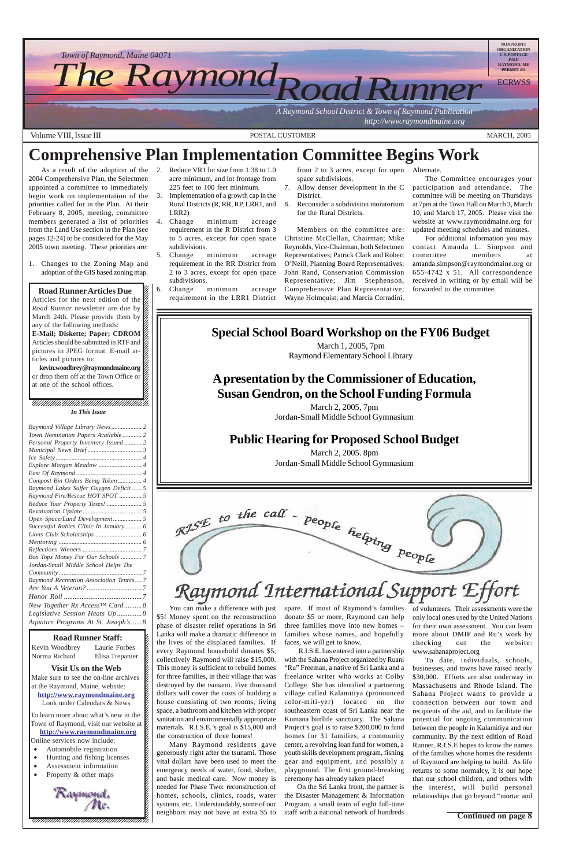#### 12345678901234567890123456789012123456789012345678 **Solution** Visit Us on the Web

Make sure to see the on-line archives  $\mathscr{L}$  $123$ at the Raymond, Maine, website:  $\mathcal{E}$  $1$  8  $\blacksquare$ **http://www.raymondmaine.org** Look under Calendars & News  $\mathcal{E}$ 12345678901234567890123456789012123456789012345678

12345678901234567890123456789012123456789012345678 To learn more about what's new in the  $\mathcal{E}$ 12345678901234567890123456789012123456789012345678 Town of Raymond, visit our website at  $\cancel{\epsilon}$ 12345678901234567890123456789012123456789012345678 **http://www.raymondmaine.org** Online services now include:  $\mathcal{E}$ 

12345678901234567890123456789012123456789012345678

- Automobile registration
- Hunting and fishing licenses 12345678901234567890123456789012123456789012345678
- Assessment information  $\epsilon$
- 12345678901234567890123456789012123456789012345678 • Property & other maps



Volume VIII, Issue III POSTAL CUSTOMER MARCH, 2005

12345678901234567890123456789012345678901234567890123456789012345678901234567890123456789012345678901234567890 12345678901234567890123456789012123456789012345678

#### **Road Runner Articles Due** 12345678901234567890123456789012123456789012345678

Articles for the next edition of the  $\mathscr{C}$ *Road Runner* newsletter are due by  $\frac{1}{3}$ March 24th. Please provide them by  $\cancel{\mathscr{C}}$  $1235678901234567890123456789012345678901234567890123456789012345678901234567890123456789012345678901234567890123456789012345678901234567890123456789012345678901234567890123456789012345678901234567890123456789012345678901$ any of the following methods:  $\%$ **E-Mail; Diskette; Paper; CDROM**  $1235678901234587890123456789012345678901234567890123456789012345678901234567890123456789012345678901234567890123456789012345678901234567890123456789012345678901234567890123456789012345678901234567890123456789012345678901$ Articles should be submitted in RTF and  $\mathscr{G}$ pictures in JPEG format. E-mail ar- $\%$  $123567890$ ticles and pictures to:  $\%$ 

kevin.woodbrey@raymondmaine.org 12345678901234567890123456789012123456789012345678 or drop them off at the Town Office or  $\cancel{\%}$  $1235678901234567890123456789012345678901234567890123456789012345678901234567890123456789012345678901234567890123456789012345678901234567890123456789012345678901234567890123456789012345678901234567890123456789012345678901$ at one of the school offices.  $\%$  $1235678901234567890123456789012345678901234567890123456789012345678901234567890123456789012345678901234567890123456789012345678901234567890123456789012345678901234567890123456789012345678901234567890123456789012345678901$ 

12345678901234567890123456789012123456789012345678

 $\blacksquare$ 



You can make a difference with just spare. If most of Raymond's families of volunteers. Their assessments were the \$5! Money spent on the reconstruction donate \$5 or more, Raymond can help only local ones used by the United Nations phase of disaster relief operations in Sri three families move into new homes – for their own assessment. You can learn

Lanka will make a dramatic difference in families whose names, and hopefully more about DMIP and Ru's work by checking out the website: www.sahanaproject.org To date, individuals, schools, businesses, and towns have raised nearly \$30,000. Efforts are also underway in Massachusetts and Rhode Island. The Sahana Project wants to provide a connection between our town and recipients of the aid, and to facilitate the potential for ongoing communication between the people in Kalamitiya and our community. By the next edition of Road Runner, R.I.S.E hopes to know the names of the families whose homes the residents of Raymond are helping to build. As life returns to some normalcy, it is our hope that our school children, and others with the interest, will build personal relationships that go beyond "mortar and

#### **Road Runner Staff:**

Kevin Woodbrey Laurie Forbes K 12345678901234567890123456789012123456789012345678 Norma Richard Elisa Trepanier K

#### $1235678901234587890123456789012345678901234567890123456789012345678901234567890123456789012345678901234567890123456789012345678901234567890123456789012345678901234567890123456789012345678901234567890123456789012345678901$  $1235678901234587890123456789012345678901234567890123456789012345678901234567890123456789012345678901234567890123456789012345678901234567890123456789012345678901234567890123456789012345678901234567890123456789012345678901$ 12345678901234567890123456789012123456789012345678 12345678901234567890123456789012123456789012345678 12345678901234567890123456789012123456789012345678 *In This Issue*

 $1235678901234567890123456789012345678901234567890123456789012345678901234567890123456789012345678901234567890123456789012345678901234567890123456789012345678901234567890123456789012345678901234567890123456789012345678901$  $1235678901234567890123456789012345678901234567890123456789012345678901234567890123456789012345678901234567890123456789012345678901234567890123456789012345678901234567890123456789012345678901234567890123456789012345678901$ 

As a result of the adoption of the 2004 Comprehensive Plan, the Selectmen appointed a committee to immediately begin work on implementation of the priorities called for in the Plan. At their February 8, 2005, meeting, committee members generated a list of priorities from the Land Use section in the Plan (see pages 12-24) to be considered for the May 2005 town meeting. These priorities are:

1. Changes to the Zoning Map and adoption of the GIS based zoning map.

- 2. Reduce VR1 lot size from 1.38 to 1.0 acre minimum, and lot frontage from 225 feet to 100 feet minimum.
- 3. Implementation of a growth cap in the Rural Districts (R, RR, RP, LRR1, and LRR2)
- 4. Change minimum acreage requirement in the R District from 3 to 5 acres, except for open space subdivisions.
- 5. Change minimum acreage requirement in the RR District from 2 to 3 acres, except for open space subdivisions.
- 6. Change minimum acreage requirement in the LRR1 District

from 2 to 3 acres, except for open Alternate. space subdivisions.

- 7. Allow denser development in the C District.
- 8. Reconsider a subdivision moratorium for the Rural Districts.

Members on the committee are: Christine McClellan, Chairman; Mike Reynolds, Vice-Chairman, both Selectmen Representatives; Patrick Clark and Robert O'Neill, Planning Board Representatives; John Rand, Conservation Commission Representative; Jim Stephenson, Comprehensive Plan Representative; Wayne Holmquist; and Marcia Corradini,

The Committee encourages your participation and attendance. The committee will be meeting on Thursdays at 7pm at the Town Hall on March 3, March 10, and March 17, 2005. Please visit the website at www.raymondmaine.org for updated meeting schedules and minutes.

For additional information you may contact Amanda L. Simpson and committee members at amanda.simpson@raymondmaine.org or 655-4742 x 51. All correspondence received in writing or by email will be forwarded to the committee.

## **Comprehensive Plan Implementation Committee Begins Work**

the lives of the displaced families. If every Raymond household donates \$5, collectively Raymond will raise \$15,000. This money is sufficient to rebuild homes for three families, in their village that was destroyed by the tsunami. Five thousand dollars will cover the costs of building a house consisting of two rooms, living space, a bathroom and kitchen with proper sanitation and environmentally appropriate materials. R.I.S.E.'s goal is \$15,000 and the construction of three homes!

Many Raymond residents gave generously right after the tsunami. Those vital dollars have been used to meet the emergency needs of water, food, shelter, and basic medical care. Now money is needed for Phase Two: reconstruction of homes, schools, clinics, roads, water systems, etc. Understandably, some of our neighbors may not have an extra \$5 to faces, we will get to know.

 R.I.S.E. has entered into a partnership with the Sahana Project organized by Ruani "Ru" Freeman, a native of Sri Lanka and a freelance writer who works at Colby College. She has identified a partnering village called Kalamitiya (pronounced color-miti-yer) located on the southeastern coast of Sri Lanka near the Kumana birdlife sanctuary. The Sahana Project's goal is to raise \$200,000 to fund homes for 31 families, a community center, a revolving loan fund for women, a youth skills development program, fishing gear and equipment, and possibly a playground. The first ground-breaking ceremony has already taken place!

On the Sri Lanka front, the partner is the Disaster Management & Information Program, a small team of eight full-time staff with a national network of hundreds

## **Special School Board Workshop on the FY06 Budget**

March 1, 2005, 7pm Raymond Elementary School Library

## **A presentation by the Commissioner of Education, Susan Gendron, on the School Funding Formula**

March 2, 2005, 7pm Jordan-Small Middle School Gymnasium

## **Public Hearing for Proposed School Budget**

March 2, 2005. 8pm Jordan-Small Middle School Gymnasium

# RISE to the call - people helping people Raymond International Support Effort

**Continued on page 8**

| Raymond Village Library News 2              |  |
|---------------------------------------------|--|
| Town Nomination Papers Available 2          |  |
| Personal Property Inventory Issued 2        |  |
|                                             |  |
|                                             |  |
|                                             |  |
|                                             |  |
| Compost Bin Orders Being Taken 4            |  |
| Raymond Lakes Suffer Oxygen Deficit  5      |  |
| Raymond Fire/Rescue HOT SPOT  5             |  |
|                                             |  |
|                                             |  |
| Open Space/Land Development 5               |  |
| Successful Rabies Clinic In January  6      |  |
|                                             |  |
|                                             |  |
|                                             |  |
| Box Tops Money For Our Schools  7           |  |
| Jordan-Small Middle School Helps The        |  |
|                                             |  |
| Raymond Recreation Association Tennis 7     |  |
|                                             |  |
|                                             |  |
| New Together Rx Access <sup>TM</sup> Card 8 |  |
| Legislative Session Heats Up 8              |  |
| Aquatics Programs At St. Joseph's 8         |  |
|                                             |  |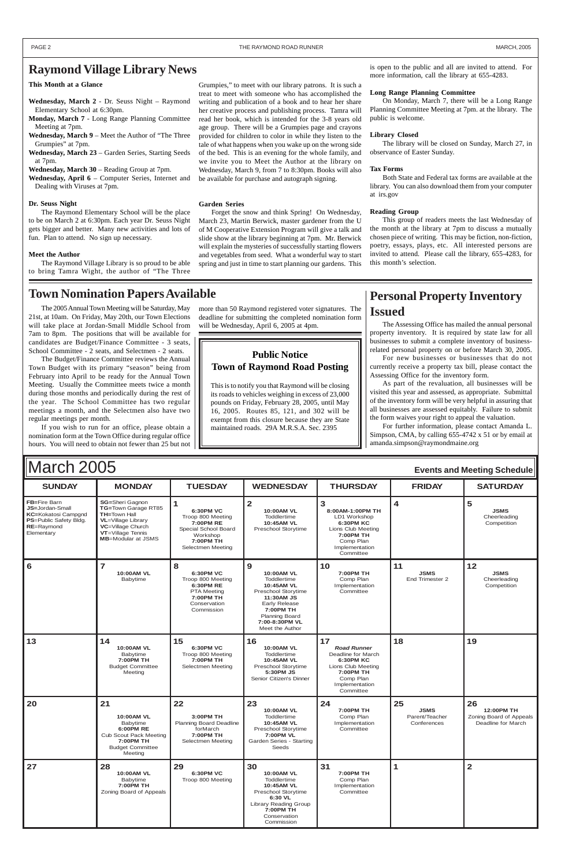| <b>SUNDAY</b>                                                                                                              | <b>MONDAY</b>                                                                                                                                                             | <b>TUESDAY</b>                                                                                                                           | <b>WEDNESDAY</b>                                                                                                                                                                     | <b>THURSDAY</b>                                                                                                                                   | <b>FRIDAY</b>                                      | <b>SATURDAY</b>                                                   |
|----------------------------------------------------------------------------------------------------------------------------|---------------------------------------------------------------------------------------------------------------------------------------------------------------------------|------------------------------------------------------------------------------------------------------------------------------------------|--------------------------------------------------------------------------------------------------------------------------------------------------------------------------------------|---------------------------------------------------------------------------------------------------------------------------------------------------|----------------------------------------------------|-------------------------------------------------------------------|
| FB=Fire Barn<br><b>JS=Jordan-Small</b><br><b>KC=Kokatosi Campgnd</b><br>PS=Public Safety Bldg.<br>RE=Raymond<br>Elementary | <b>SG=Sheri Gagnon</b><br>TG=Town Garage RT85<br><b>TH=Town Hall</b><br><b>VL</b> =Village Library<br>VC=Village Church<br>VT=Village Tennis<br><b>MB=Modular at JSMS</b> | $\mathbf{1}$<br>6:30PM VC<br>Troop 800 Meeting<br><b>7:00PM RE</b><br>Special School Board<br>Workshop<br>7:00PM TH<br>Selectmen Meeting | $\overline{2}$<br><b>10:00AM VL</b><br>Toddlertime<br>10:45AM VL<br>Preschool Storytime                                                                                              | 3<br>8:00AM-1:00PM TH<br>LD1 Workshop<br><b>6:30PM KC</b><br>Lions Club Meeting<br><b>7:00PM TH</b><br>Comp Plan<br>Implementation<br>Committee   | $\overline{\mathbf{4}}$                            | 5<br><b>JSMS</b><br>Cheerleading<br>Competition                   |
| 6                                                                                                                          | $\overline{7}$<br>10:00AM VL<br>Babytime                                                                                                                                  | 8<br><b>6:30PM VC</b><br>Troop 800 Meeting<br>6:30PM RE<br><b>PTA Meeting</b><br>7:00PM TH<br>Conservation<br>Commission                 | 9<br>10:00AM VL<br>Toddlertime<br>10:45AM VL<br>Preschool Storytime<br>11:30AM JS<br><b>Early Release</b><br>7:00PM TH<br><b>Planning Board</b><br>7:00-8:30PM VL<br>Meet the Author | 10<br>7:00PM TH<br>Comp Plan<br>Implementation<br>Committee                                                                                       | 11<br><b>JSMS</b><br>End Trimester 2               | 12<br><b>JSMS</b><br>Cheerleading<br>Competition                  |
| 13                                                                                                                         | 14<br>10:00AM VL<br>Babytime<br>7:00PM TH<br><b>Budget Committee</b><br>Meeting                                                                                           | 15<br><b>6:30PM VC</b><br>Troop 800 Meeting<br>7:00PM TH<br>Selectmen Meeting                                                            | 16<br><b>10:00AM VL</b><br>Toddlertime<br>10:45AM VL<br>Preschool Storytime<br>5:30PM JS<br>Senior Citizen's Dinner                                                                  | 17<br><b>Road Runner</b><br>Deadline for March<br><b>6:30PM KC</b><br>Lions Club Meeting<br>7:00PM TH<br>Comp Plan<br>Implementation<br>Committee | 18                                                 | 19                                                                |
| 20                                                                                                                         | 21<br><b>10:00AM VL</b><br>Babytime<br>6:00PM RE<br><b>Cub Scout Pack Meeting</b><br>7:00PM TH<br><b>Budget Committee</b><br>Meeting                                      | 22<br>3:00PM TH<br><b>Planning Board Deadline</b><br>forMarch<br>7:00PM TH<br>Selectmen Meeting                                          | 23<br><b>10:00AM VL</b><br>Toddlertime<br>10:45AM VL<br>Preschool Storytime<br><b>7:00PM VL</b><br>Garden Series - Starting<br>Seeds                                                 | 24<br>7:00PM TH<br>Comp Plan<br>Implementation<br>Committee                                                                                       | 25<br><b>JSMS</b><br>Parent/Teacher<br>Conferences | 26<br>12:00PM TH<br>Zoning Board of Appeals<br>Deadline for March |
| 27                                                                                                                         | 28<br>10:00AM VL<br>Babytime<br>7:00PM TH<br>Zoning Board of Appeals                                                                                                      | 29<br><b>6:30PM VC</b><br>Troop 800 Meeting                                                                                              | 30<br><b>10:00AM VL</b><br>Toddlertime<br>10:45AM VL<br><b>Preschool Storytime</b><br>6:30 VL<br><b>Library Reading Group</b><br>7:00PM TH<br>Conservation<br>Commission             | 31<br>7:00PM TH<br>Comp Plan<br>Implementation<br>Committee                                                                                       | 1                                                  | $\overline{2}$                                                    |

**Raymond Village Library News** is open to the public and all are invited to attend. For more information, call the library at 655-4283.

## March 2005 **Events and Meeting Schedule**

#### **This Month at a Glance**

- **Wednesday, March 2** Dr. Seuss Night Raymond Elementary School at 6:30pm.
- **Monday, March 7** Long Range Planning Committee Meeting at 7pm.
- **Wednesday, March 9** Meet the Author of "The Three Grumpies" at 7pm.
- **Wednesday, March 23** Garden Series, Starting Seeds at 7pm.
- **Wednesday, March 30** Reading Group at 7pm.
- **Wednesday, April 6** Computer Series, Internet and Dealing with Viruses at 7pm.

#### **Dr. Seuss Night**

The Raymond Elementary School will be the place to be on March 2 at 6:30pm. Each year Dr. Seuss Night gets bigger and better. Many new activities and lots of fun. Plan to attend. No sign up necessary.

#### **Meet the Author**

The Raymond Village Library is so proud to be able to bring Tamra Wight, the author of "The Three Grumpies," to meet with our library patrons. It is such a treat to meet with someone who has accomplished the writing and publication of a book and to hear her share her creative process and publishing process. Tamra will read her book, which is intended for the 3-8 years old age group. There will be a Grumpies page and crayons provided for children to color in while they listen to the tale of what happens when you wake up on the wrong side of the bed. This is an evening for the whole family, and we invite you to Meet the Author at the library on Wednesday, March 9, from 7 to 8:30pm. Books will also be available for purchase and autograph signing.

#### **Garden Series**

Forget the snow and think Spring! On Wednesday, March 23, Martin Berwick, master gardener from the U of M Cooperative Extension Program will give a talk and slide show at the library beginning at 7pm. Mr. Berwick will explain the mysteries of successfully starting flowers and vegetables from seed. What a wonderful way to start spring and just in time to start planning our gardens. This

#### **Long Range Planning Committee**

On Monday, March 7, there will be a Long Range Planning Committee Meeting at 7pm. at the library. The public is welcome.

#### **Library Closed**

The library will be closed on Sunday, March 27, in observance of Easter Sunday.

#### **Tax Forms**

Both State and Federal tax forms are available at the library. You can also download them from your computer at irs.gov

#### **Reading Group**

This group of readers meets the last Wednesday of the month at the library at 7pm to discuss a mutually chosen piece of writing. This may be fiction, non-fiction, poetry, essays, plays, etc. All interested persons are invited to attend. Please call the library, 655-4283, for this month's selection.

The 2005 Annual Town Meeting will be Saturday, May 21st, at 10am. On Friday, May 20th, our Town Elections will take place at Jordan-Small Middle School from 7am to 8pm. The positions that will be available for candidates are Budget/Finance Committee - 3 seats, School Committee - 2 seats, and Selectmen - 2 seats.

The Budget/Finance Committee reviews the Annual Town Budget with its primary "season" being from February into April to be ready for the Annual Town Meeting. Usually the Committee meets twice a month during those months and periodically during the rest of the year. The School Committee has two regular meetings a month, and the Selectmen also have two regular meetings per month.

If you wish to run for an office, please obtain a nomination form at the Town Office during regular office hours. You will need to obtain not fewer than 25 but not

more than 50 Raymond registered voter signatures. The deadline for submitting the completed nomination form will be Wednesday, April 6, 2005 at 4pm.

## **Personal Property Inventory Issued**

The Assessing Office has mailed the annual personal property inventory. It is required by state law for all businesses to submit a complete inventory of businessrelated personal property on or before March 30, 2005.

For new businesses or businesses that do not currently receive a property tax bill, please contact the Assessing Office for the inventory form.

As part of the revaluation, all businesses will be visited this year and assessed, as appropriate. Submittal of the inventory form will be very helpful in assuring that all businesses are assessed equitably. Failure to submit the form waives your right to appeal the valuation.

For further information, please contact Amanda L. Simpson, CMA, by calling 655-4742 x 51 or by email at amanda.simpson@raymondmaine.org

#### **Town Nomination Papers Available**

#### **Public Notice Town of Raymond Road Posting**

This is to notify you that Raymond will be closing its roads to vehicles weighing in excess of 23,000 pounds on Friday, February 28, 2005, until May 16, 2005. Routes 85, 121, and 302 will be exempt from this closure because they are State maintained roads. 29A M.R.S.A. Sec. 2395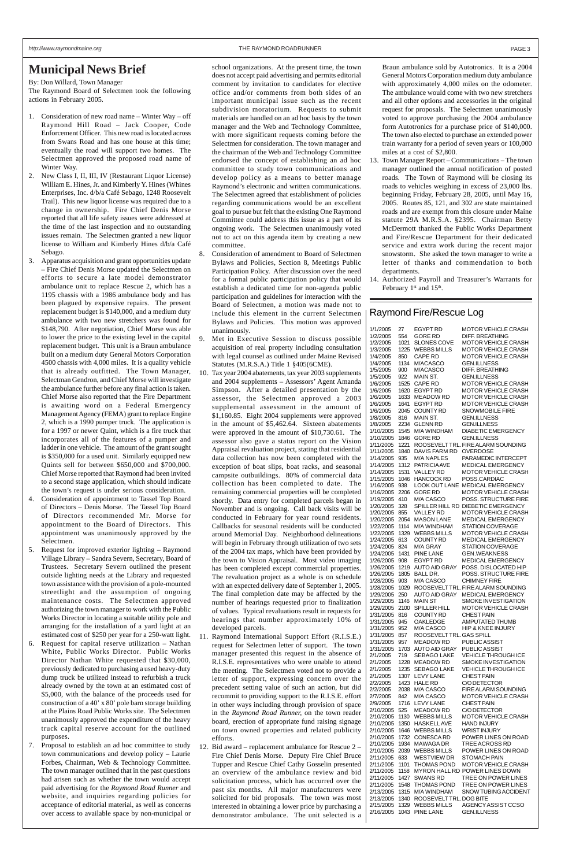#### **Municipal News Brief**

By: Don Willard, Town Manager

The Raymond Board of Selectmen took the following actions in February 2005.

- 1. Consideration of new road name Winter Way off Raymond Hill Road – Jack Cooper, Code Enforcement Officer. This new road is located across from Swans Road and has one house at this time; eventually the road will support two homes. The Selectmen approved the proposed road name of Winter Way.
- 2. New Class I, II, III, IV (Restaurant Liquor License) William E. Hines, Jr. and Kimberly Y. Hines (Whines Enterprises, Inc. d/b/a Café Sebago, 1248 Roosevelt Trail). This new liquor license was required due to a change in ownership. Fire Chief Denis Morse reported that all life safety issues were addressed at the time of the last inspection and no outstanding issues remain. The Selectmen granted a new liquor license to William and Kimberly Hines d/b/a Café Sebago.
- 3. Apparatus acquisition and grant opportunities update – Fire Chief Denis Morse updated the Selectmen on efforts to secure a late model demonstrator ambulance unit to replace Rescue 2, which has a 1195 chassis with a 1986 ambulance body and has been plagued by expensive repairs. The present replacement budget is \$140,000, and a medium duty ambulance with two new stretchers was found for \$148,790. After negotiation, Chief Morse was able to lower the price to the existing level in the capital replacement budget. This unit is a Braun ambulance built on a medium duty General Motors Corporation 4500 chassis with 4,000 miles. It is a quality vehicle that is already outfitted. The Town Manager, Selectman Gendron, and Chief Morse will investigate the ambulance further before any final action is taken. Chief Morse also reported that the Fire Department is awaiting word on a Federal Emergency Management Agency (FEMA) grant to replace Engine 2, which is a 1990 pumper truck. The application is for a 1997 or newer Quint, which is a fire truck that incorporates all of the features of a pumper and ladder in one vehicle. The amount of the grant sought is \$350,000 for a used unit. Similarly equipped new Quints sell for between \$650,000 and \$700,000. Chief Morse reported that Raymond had been invited to a second stage application, which should indicate the town's request is under serious consideration.
- 4. Consideration of appointment to Tassel Top Board of Directors – Denis Morse. The Tassel Top Board of Directors recommended Mr. Morse for appointment to the Board of Directors. This appointment was unanimously approved by the Selectmen.
- 5. Request for improved exterior lighting Raymond Village Library – Sandra Severn, Secretary, Board of Trustees. Secretary Severn outlined the present outside lighting needs at the Library and requested town assistance with the provision of a pole-mounted streetlight and the assumption of ongoing maintenance costs. The Selectmen approved authorizing the town manager to work with the Public Works Director in locating a suitable utility pole and arranging for the installation of a yard light at an estimated cost of \$250 per year for a 250-watt light. 6. Request for capital reserve utilization – Nathan White, Public Works Director. Public Works Director Nathan White requested that \$30,000, previously dedicated to purchasing a used heavy-duty dump truck be utilized instead to refurbish a truck already owned by the town at an estimated cost of \$5,000, with the balance of the proceeds used for construction of a 40' x 80' pole barn storage building at the Plains Road Public Works site. The Selectmen unanimously approved the expenditure of the heavy truck capital reserve account for the outlined purposes. 7. Proposal to establish an ad hoc committee to study town communications and develop policy – Laurie Forbes, Chairman, Web & Technology Committee. The town manager outlined that in the past questions had arisen such as whether the town would accept paid advertising for the *Raymond Road Runner* and website, and inquiries regarding policies for acceptance of editorial material, as well as concerns over access to available space by non-municipal or
- Consideration of amendment to Board of Selectmen Bylaws and Policies, Section 8, Meetings Public Participation Policy. After discussion over the need for a formal public participation policy that would establish a dedicated time for non-agenda public participation and guidelines for interaction with the Board of Selectmen, a motion was made not to include this element in the current Selectmen Bylaws and Policies. This motion was approved unanimously.
- 9. Met in Executive Session to discuss possible acquisition of real property including consultation with legal counsel as outlined under Maine Revised Statutes (M.R.S.A.) Title 1 §405(6CME).
- 10. Tax year 2004 abatements, tax year 2003 supplements and 2004 supplements – Assessors' Agent Amanda Simpson. After a detailed presentation by the assessor, the Selectmen approved a 2003 supplemental assessment in the amount of \$1,160.85. Eight 2004 supplements were approved in the amount of \$5,462.64. Sixteen abatements were approved in the amount of \$10,730.61. The assessor also gave a status report on the Vision Appraisal revaluation project, stating that residential data collection has now been completed with the exception of boat slips, boat racks, and seasonal campsite outbuildings. 80% of commercial data collection has been completed to date. The remaining commercial properties will be completed shortly. Data entry for completed parcels began in November and is ongoing. Call back visits will be conducted in February for year round residents. Callbacks for seasonal residents will be conducted around Memorial Day. Neighborhood delineations will begin in February through utilization of two sets of the 2004 tax maps, which have been provided by the town to Vision Appraisal. Most video imaging has been completed except commercial properties. The revaluation project as a whole is on schedule with an expected delivery date of September 1, 2005. The final completion date may be affected by the number of hearings requested prior to finalization of values. Typical revaluations result in requests for hearings that number approximately 10% of developed parcels.
- 11. Raymond International Support Effort (R.I.S.E.) request for Selectmen letter of support. The town manager presented this request in the absence of R.I.S.E. representatives who were unable to attend the meeting. The Selectmen voted not to provide a letter of support, expressing concern over the precedent setting value of such an action, but did recommit to providing support to the R.I.S.E. effort in other ways including through provision of space in the *Raymond Road Runner,* on the town reader board, erection of appropriate fund raising signage on town owned properties and related publicity efforts. 12. Bid award – replacement ambulance for Rescue 2 – Fire Chief Denis Morse. Deputy Fire Chief Bruce Tupper and Rescue Chief Cathy Gosselin presented an overview of the ambulance review and bid solicitation process, which has occurred over the past six months. All major manufacturers were solicited for bid proposals. The town was most interested in obtaining a lower price by purchasing a demonstrator ambulance. The unit selected is a
- 13. Town Manager Report Communications The town manager outlined the annual notification of posted roads. The Town of Raymond will be closing its roads to vehicles weighing in excess of 23,000 lbs. beginning Friday, February 28, 2005, until May 16, 2005. Routes 85, 121, and 302 are state maintained roads and are exempt from this closure under Maine statute 29A M.R.S.A. §2395. Chairman Betty McDermott thanked the Public Works Department and Fire/Rescue Department for their dedicated service and extra work during the recent major snowstorm. She asked the town manager to write a letter of thanks and commendation to both departments.
- 14. Authorized Payroll and Treasurer's Warrants for February  $1<sup>st</sup>$  and  $15<sup>th</sup>$ .

school organizations. At the present time, the town does not accept paid advertising and permits editorial comment by invitation to candidates for elective office and/or comments from both sides of an important municipal issue such as the recent subdivision moratorium. Requests to submit materials are handled on an ad hoc basis by the town manager and the Web and Technology Committee, with more significant requests coming before the Selectmen for consideration. The town manager and the chairman of the Web and Technology Committee endorsed the concept of establishing an ad hoc committee to study town communications and develop policy as a means to better manage Raymond's electronic and written communications. The Selectmen agreed that establishment of policies regarding communications would be an excellent goal to pursue but felt that the existing One Raymond Committee could address this issue as a part of its ongoing work. The Selectmen unanimously voted not to act on this agenda item by creating a new committee.

Braun ambulance sold by Autotronics. It is a 2004 General Motors Corporation medium duty ambulance with approximately 4,000 miles on the odometer. The ambulance would come with two new stretchers and all other options and accessories in the original request for proposals. The Selectmen unanimously voted to approve purchasing the 2004 ambulance form Autotronics for a purchase price of \$140,000. The town also elected to purchase an extended power train warranty for a period of seven years or 100,000 miles at a cost of \$2,800.

| Raymond Fire/Rescue Log |
|-------------------------|
|-------------------------|

| 1/1/2005               | 27           | EGYPT RD                                 | MOTOR VEHICLE CRASH                                      |
|------------------------|--------------|------------------------------------------|----------------------------------------------------------|
| 1/2/2005               | 554          | <b>GORE RD</b>                           | DIFF. BREATHING                                          |
| 1/2/2005               | 1021         | <b>SLONES COVE</b>                       | <b>MOTOR VEHICLE CRASH</b>                               |
| 1/3/2005<br>1/4/2005   | 1225<br>850  | <b>WEBBS MILLS</b><br><b>CAPE RD</b>     | <b>MOTOR VEHICLE CRASH</b><br><b>MOTOR VEHICLE CRASH</b> |
| 1/4/2005               | 1134         | M/ACASCO                                 | <b>GEN.ILLNESS</b>                                       |
| 1/5/2005               | 900          | M/ACASCO                                 | DIFF. BREATHING                                          |
| 1/5/2005               | 922          | MAIN ST.                                 | <b>GEN.ILLNESS</b>                                       |
| 1/6/2005               | 1525         | CAPE RD                                  | <b>MOTOR VEHICLE CRASH</b>                               |
| 1/6/2005               | 1620         | <b>EGYPT RD</b>                          | <b>MOTOR VEHICLE CRASH</b>                               |
| 1/6/2005               | 1633         | <b>MEADOW RD</b>                         | <b>MOTOR VEHICLE CRASH</b>                               |
| 1/6/2005               | 1641         | <b>EGYPT RD</b>                          | MOTOR VEHICLE CRASH                                      |
| 1/6/2005<br>1/8/2005   | 2045<br>816  | <b>COUNTY RD</b><br>MAIN ST.             | <b>SNOWMOBILE FIRE</b><br><b>GEN.ILLNESS</b>             |
| 1/8/2005               | 2234         | <b>GLENN RD</b>                          | <b>GEN.ILLNESS</b>                                       |
| 1/10/2005              | 1545         | <b>M/A WINDHAM</b>                       | <b>DIABETIC EMERGENCY</b>                                |
| 1/10/2005              | 1846         | <b>GORE RD</b>                           | <b>GEN.ILLNESS</b>                                       |
| 1/11/2005              | 1221         |                                          | ROOSEVELT TRL. FIRE ALARM SOUNDING                       |
| 1/11/2005              | 1840         | DAVIS FARM RD                            | OVERDOSE                                                 |
| 1/14/2005              | 935          | <b>M/A NAPLES</b>                        | PARAMEDIC INTERCEPT                                      |
| 1/14/2005              | 1312         | <b>PATRICIAAVE</b>                       | <b>MEDICAL EMERGENCY</b>                                 |
| 1/14/2005<br>1/15/2005 | 1531<br>1046 | <b>VALLEY RD</b><br><b>HANCOCK RD</b>    | <b>MOTOR VEHICLE CRASH</b><br>POSS.CARDIAC               |
| 1/16/2005              | 938          | <b>LOOK OUT LANE</b>                     | <b>MEDICAL EMERGENCY</b>                                 |
| 1/16/2005              | 2206         | <b>GORE RD</b>                           | <b>MOTOR VEHICLE CRASH</b>                               |
| 1/19/2005              | 410          | M/A CASCO                                | POSS. STRUCTURE FIRE                                     |
| 1/20/2005              | 328          |                                          | SPILLER HILL RD DIEBETIC EMERGENCY                       |
| 1/20/2005              | 855          | <b>VALLEY RD</b>                         | <b>MOTOR VEHICLE CRASH</b>                               |
| 1/20/2005              | 2054         | <b>MASON LANE</b>                        | <b>MEDICAL EMERGENCY</b>                                 |
| 1/22/2005              | 1114         | M/A WINDHAM                              | <b>STATION COVERAGE</b>                                  |
| 1/22/2005<br>1/24/2005 | 1329<br>613  | <b>WEBBS MILLS</b><br><b>COUNTY RD</b>   | <b>MOTOR VEHICLE CRASH</b><br><b>MEDICAL EMERGENCY</b>   |
| 1/24/2005              | 824          | M/A GRAY                                 | <b>STATION COVERAGE</b>                                  |
| 1/24/2005              | 1431         | <b>PINE LANE</b>                         | <b>GEN.WEAKNESS</b>                                      |
| 1/26/2005              | 908          | EGYPT RD                                 | <b>MEDICAL EMERGENCY</b>                                 |
| 1/26/2005              | 1219         | <b>AUTO AID GRAY</b>                     | POSS. DISLOCATED HIP                                     |
| 1/26/2005              | 1805         | BALL DR.                                 | POSS. STRUCTURE FIRE                                     |
| 1/28/2005              | 903          | M/A CASCO                                | <b>CHIMNEY FIRE</b>                                      |
| 1/28/2005              | 1029         |                                          | ROOSEVELT TRL. FIRE ALARM SOUNDING                       |
| 1/29/2005<br>1/29/2005 | 250<br>1146  | <b>AUTO AID GRAY</b><br>MAIN ST          | <b>MEDICAL EMERGENCY</b><br>SMOKE INVESTIGATION          |
| 1/29/2005              | 2100         | SPILLER HILL                             | <b>MOTOR VEHICLE CRASH</b>                               |
| 1/31/2005              | 816          | <b>COUNTY RD</b>                         | <b>CHEST PAIN</b>                                        |
| 1/31/2005              | 945          | OAKLEDGE                                 | AMPUTATED THUMB                                          |
| 1/31/2005              | 952          | M/A CASCO                                | HIP & KNEE INJURY                                        |
| 1/31/2005              | 857          |                                          |                                                          |
| 1/31/2005              |              | ROOSEVELT TRL. GAS SPILL                 |                                                          |
|                        | 957          | <b>MEADOW RD</b>                         | PUBLIC ASSIST                                            |
| 1/31/2005              | 1703         | <b>AUTO AID GRAY</b>                     | PUBLIC ASSIST                                            |
| 2/1/2005               | 719          | SEBAGO LAKE                              | VEHICLE THROUGH ICE                                      |
| 2/1/2005               | 1228         | <b>MEADOW RD</b>                         | <b>SMOKE INVESTIGATION</b>                               |
| 2/1/2005<br>2/1/2005   | 1235<br>1307 | SEBAGO LAKE<br><b>LEVY LANE</b>          | VEHICLE THROUGH ICE<br><b>CHEST PAIN</b>                 |
| 2/2/2005               | 1423         | <b>HALE RD</b>                           | C/O DETECTOR                                             |
| 2/2/2005               | 2038         | M/A CASCO                                | <b>FIRE ALARM SOUNDING</b>                               |
| 2/7/2005               | 842          | M/A CASCO                                | <b>MOTOR VEHICLE CRASH</b>                               |
| 2/9/2005               | 1716         | LEVY LANE                                | <b>CHEST PAIN</b>                                        |
| 2/10/2005              | 525          | <b>MEADOW RD</b>                         | C/O DETECTOR                                             |
| 2/10/2005              | 1130         | <b>WEBBS MILLS</b>                       | <b>MOTOR VEHICLE CRASH</b>                               |
| 2/10/2005<br>2/10/2005 | 1350         | <b>HASKELL AVE</b><br><b>WEBBS MILLS</b> | <b>HAND INJURY</b><br><b>WRIST INJURY</b>                |
| 2/10/2005              | 1646<br>1732 | CONESCA RD                               | POWER LINES ON ROAD                                      |
| 2/10/2005              | 1934         | MAWAGA DR                                | TREE ACROSS RD                                           |
| 2/10/2005              | 2039         | <b>WEBBS MILLS</b>                       | POWER LINES ON ROAD                                      |
| 2/11/2005              | 633          | <b>WESTVIEW DR</b>                       | <b>STOMACH PAIN</b>                                      |
| 2/11/2005              | 1101         | <b>THOMAS POND</b>                       | <b>MOTOR VEHICLE CRASH</b>                               |
| 2/11/2005              | 1158         |                                          | MYRON HALL RD POWER LINES DOWN                           |
| 2/11/2005              | 1427         | <b>SWANS RD</b>                          | TREE ON POWER LINES                                      |
| 2/11/2005<br>2/13/2005 | 1548<br>1315 | <b>THOMAS POND</b><br>M/A WINDHAM        | TREE ON POWER LINES<br>SNOW TUBING ACCIDENT              |
| 2/13/2005              | 1340         | ROOSEVELT TRL. DOG BITE                  |                                                          |
| 2/15/2005<br>2/16/2005 | 1329<br>1043 | <b>WEBBS MILLS</b><br><b>PINE LANE</b>   | AGENCY ASSIST CCSO<br><b>GEN.ILLNESS</b>                 |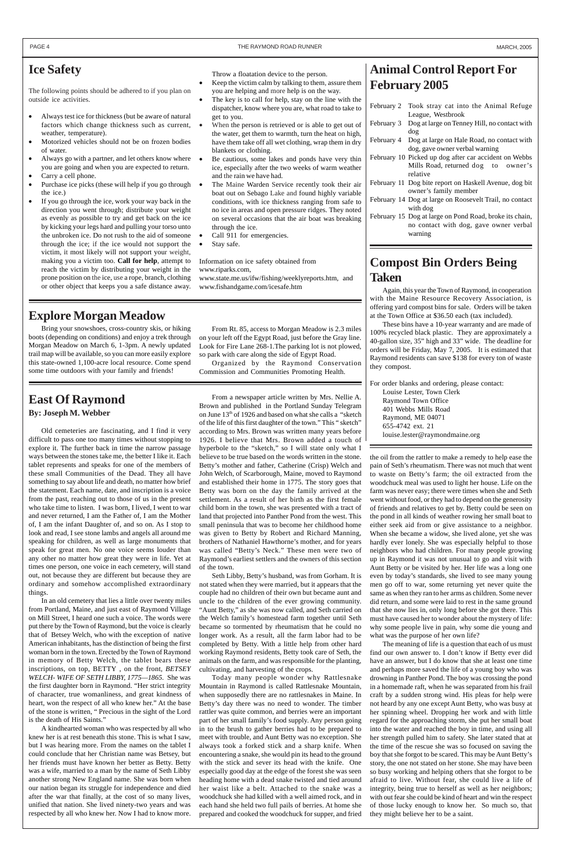# **East Of Raymond**

#### **By: Joseph M. Webber**

Old cemeteries are fascinating, and I find it very difficult to pass one too many times without stopping to explore it. The further back in time the narrow passage ways between the stones take me, the better I like it. Each tablet represents and speaks for one of the members of these small Communities of the Dead. They all have something to say about life and death, no matter how brief the statement. Each name, date, and inscription is a voice from the past, reaching out to those of us in the present who take time to listen. I was born, I lived, I went to war and never returned, I am the Father of, I am the Mother of, I am the infant Daughter of, and so on. As I stop to look and read, I see stone lambs and angels all around me speaking for children, as well as large monuments that speak for great men. No one voice seems louder than any other no matter how great they were in life. Yet at times one person, one voice in each cemetery, will stand out, not because they are different but because they are ordinary and somehow accomplished extraordinary things.

In an old cemetery that lies a little over twenty miles from Portland, Maine, and just east of Raymond Village on Mill Street, I heard one such a voice. The words were put there by the Town of Raymond, but the voice is clearly that of Betsey Welch, who with the exception of native American inhabitants, has the distinction of being the first woman born in the town. Erected by the Town of Raymond in memory of Betty Welch, the tablet bears these inscriptions, on top, BETTY , on the front, *BETSEY WELCH- WIFE OF SETH LIBBY, 1775—1865.* She was the first daughter born in Raymond. "Her strict integrity of character, true womanliness, and great kindness of heart, won the respect of all who knew her." At the base of the stone is written, " Precious in the sight of the Lord is the death of His Saints." A kindhearted woman who was respected by all who knew her is at rest beneath this stone. This is what I saw, but I was hearing more. From the names on the tablet I could conclude that her Christian name was Betsey, but her friends must have known her better as Betty. Betty was a wife, married to a man by the name of Seth Libby another strong New England name. She was born when our nation began its struggle for independence and died after the war that finally, at the cost of so many lives, unified that nation. She lived ninety-two years and was respected by all who knew her. Now I had to know more.

From a newspaper article written by Mrs. Nellie A. Brown and published in the Portland Sunday Telegram on June 13<sup>th</sup> of 1926 and based on what she calls a "sketch of the life of this first daughter of the town." This " sketch" according to Mrs. Brown was written many years before 1926. I believe that Mrs. Brown added a touch of hyperbole to the "sketch," so I will state only what I believe to be true based on the words written in the stone. Betty's mother and father, Catherine (Crisp) Welch and John Welch, of Scarborough, Maine, moved to Raymond and established their home in 1775. The story goes that Betty was born on the day the family arrived at the settlement. As a result of her birth as the first female child born in the town, she was presented with a tract of land that projected into Panther Pond from the west. This small peninsula that was to become her childhood home was given to Betty by Robert and Richard Manning, brothers of Nathaniel Hawthorne's mother, and for years was called "Betty's Neck." These men were two of Raymond's earliest settlers and the owners of this section of the town.

Seth Libby, Betty's husband, was from Gorham. It is not stated when they were married, but it appears that the couple had no children of their own but became aunt and uncle to the children of the ever growing community. "Aunt Betty," as she was now called, and Seth carried on the Welch family's homestead farm together until Seth became so tormented by rheumatism that he could no longer work. As a result, all the farm labor had to be completed by Betty. With a little help from other hard working Raymond residents, Betty took care of Seth, the animals on the farm, and was responsible for the planting, cultivating, and harvesting of the crops. Today many people wonder why Rattlesnake Mountain in Raymond is called Rattlesnake Mountain, when supposedly there are no rattlesnakes in Maine. In Betty's day there was no need to wonder. The timber rattler was quite common, and berries were an important part of her small family's food supply. Any person going in to the brush to gather berries had to be prepared to meet with trouble, and Aunt Betty was no exception. She always took a forked stick and a sharp knife. When encountering a snake, she would pin its head to the ground with the stick and sever its head with the knife. One especially good day at the edge of the forest she was seen heading home with a dead snake twisted and tied around her waist like a belt. Attached to the snake was a woodchuck she had killed with a well aimed rock, and in each hand she held two full pails of berries. At home she prepared and cooked the woodchuck for supper, and fried

the oil from the rattler to make a remedy to help ease the pain of Seth's rheumatism. There was not much that went to waste on Betty's farm; the oil extracted from the woodchuck meal was used to light her house. Life on the farm was never easy; there were times when she and Seth went without food, or they had to depend on the generosity of friends and relatives to get by. Betty could be seen on the pond in all kinds of weather rowing her small boat to either seek aid from or give assistance to a neighbor. When she became a widow, she lived alone, yet she was hardly ever lonely. She was especially helpful to those neighbors who had children. For many people growing up in Raymond it was not unusual to go and visit with Aunt Betty or be visited by her. Her life was a long one even by today's standards, she lived to see many young men go off to war, some returning yet never quite the same as when they ran to her arms as children. Some never did return, and some were laid to rest in the same ground that she now lies in, only long before she got there. This must have caused her to wonder about the mystery of life: why some people live in pain, why some die young and what was the purpose of her own life? The meaning of life is a question that each of us must find our own answer to. I don't know if Betty ever did have an answer, but I do know that she at least one time and perhaps more saved the life of a young boy who was drowning in Panther Pond. The boy was crossing the pond in a homemade raft, when he was separated from his frail craft by a sudden strong wind. His pleas for help were not heard by any one except Aunt Betty, who was busy at her spinning wheel. Dropping her work and with little regard for the approaching storm, she put her small boat into the water and reached the boy in time, and using all her strength pulled him to safety. She later stated that at the time of the rescue she was so focused on saving the boy that she forgot to be scared. This may be Aunt Betty's story, the one not stated on her stone. She may have been so busy working and helping others that she forgot to be afraid to live. Without fear, she could live a life of integrity, being true to herself as well as her neighbors; with out fear she could be kind of heart and win the respect of those lucky enough to know her. So much so, that they might believe her to be a saint.

## **Animal Control Report For February 2005**

| February 2 | Took stray cat into the Animal Refuge                   |
|------------|---------------------------------------------------------|
|            | League, Westbrook                                       |
| February 3 | Dog at large on Tenney Hill, no contact with            |
|            | dog                                                     |
|            | February 4 Dog at large on Hale Road, no contact with   |
|            | dog, gave owner verbal warning                          |
|            | February 10 Picked up dog after car accident on Webbs   |
|            | Mills Road, returned dog to owner's                     |
|            | relative                                                |
|            | February 11 Dog bite report on Haskell Avenue, dog bit  |
|            | owner's family member                                   |
|            | February 14 Dog at large on Roosevelt Trail, no contact |
|            | with dog                                                |
|            | February 15 Dog at large on Pond Road, broke its chain, |
|            | no contact with dog, gave owner verbal                  |
|            | warning                                                 |

## **Compost Bin Orders Being Taken**

Again, this year the Town of Raymond, in cooperation with the Maine Resource Recovery Association, is offering yard compost bins for sale. Orders will be taken at the Town Office at \$36.50 each (tax included).

These bins have a 10-year warranty and are made of 100% recycled black plastic. They are approximately a 40-gallon size, 35" high and 33" wide. The deadline for orders will be Friday, May 7, 2005. It is estimated that Raymond residents can save \$138 for every ton of waste they compost.

For order blanks and ordering, please contact: Louise Lester, Town Clerk Raymond Town Office 401 Webbs Mills Road Raymond, ME 04071 655-4742 ext. 21 louise.lester@raymondmaine.org

#### **Ice Safety**

The following points should be adhered to if you plan on outside ice activities.

- Always test ice for thickness (but be aware of natural factors which change thickness such as current, weather, temperature).
- Motorized vehicles should not be on frozen bodies of water.
- Always go with a partner, and let others know where you are going and when you are expected to return.
- Carry a cell phone.
- Purchase ice picks (these will help if you go through the ice.)
- If you go through the ice, work your way back in the direction you went through; distribute your weight as evenly as possible to try and get back on the ice by kicking your legs hard and pulling your torso unto the unbroken ice. Do not rush to the aid of someone through the ice; if the ice would not support the victim, it most likely will not support your weight, making you a victim too. **Call for help**, attempt to reach the victim by distributing your weight in the prone position on the ice, use a rope, branch, clothing or other object that keeps you a safe distance away.

#### Throw a floatation device to the person.

- Keep the victim calm by talking to them, assure them you are helping and more help is on the way.
- The key is to call for help, stay on the line with the dispatcher, know where you are, what road to take to get to you.
- When the person is retrieved or is able to get out of the water, get them to warmth, turn the heat on high, have them take off all wet clothing, wrap them in dry blankets or clothing.
- Be cautious, some lakes and ponds have very thin ice, especially after the two weeks of warm weather and the rain we have had.
- The Maine Warden Service recently took their air boat out on Sebago Lake and found highly variable conditions, with ice thickness ranging from safe to no ice in areas and open pressure ridges. They noted on several occasions that the air boat was breaking through the ice.
- Call 911 for emergencies.
- Stay safe.

Information on ice safety obtained from www.riparks.com,

www.state.me.us/ifw/fishing/weeklyreports.htm, and www.fishandgame.com/icesafe.htm

#### **Explore Morgan Meadow**

Bring your snowshoes, cross-country skis, or hiking boots (depending on conditions) and enjoy a trek through Morgan Meadow on March 6, 1-3pm. A newly updated trail map will be available, so you can more easily explore this state-owned 1,100-acre local resource. Come spend some time outdoors with your family and friends!

From Rt. 85, access to Morgan Meadow is 2.3 miles on your left off the Egypt Road, just before the Gray line. Look for Fire Lane 268-1.The parking lot is not plowed, so park with care along the side of Egypt Road.

Organized by the Raymond Conservation Commission and Communities Promoting Health.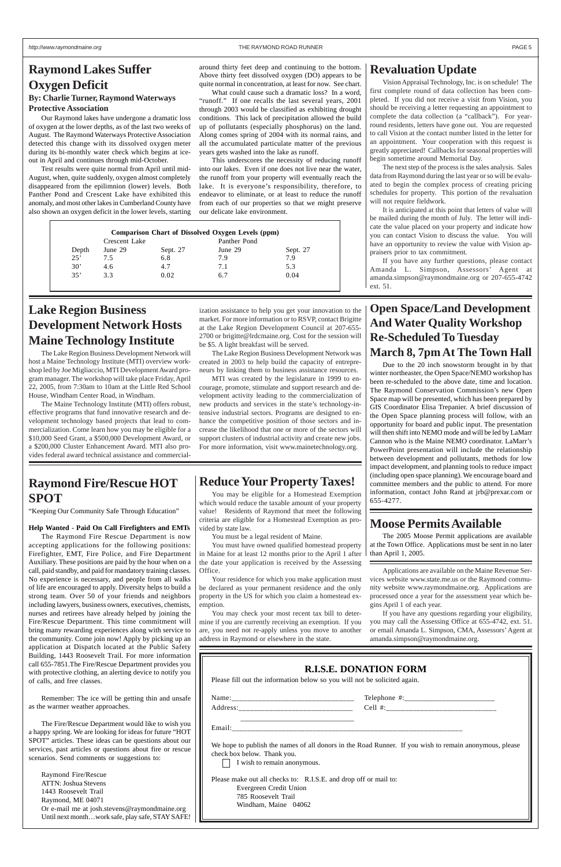## **Raymond Lakes Suffer Oxygen Deficit**

#### **By: Charlie Turner, Raymond Waterways Protective Association**

Our Raymond lakes have undergone a dramatic loss of oxygen at the lower depths, as of the last two weeks of August. The Raymond Waterways Protective Association detected this change with its dissolved oxygen meter during its bi-monthly water check which begins at iceout in April and continues through mid-October.

Test results were quite normal from April until mid-August, when, quite suddenly, oxygen almost completely disappeared from the epilimnion (lower) levels. Both Panther Pond and Crescent Lake have exhibited this anomaly, and most other lakes in Cumberland County have also shown an oxygen deficit in the lower levels, starting around thirty feet deep and continuing to the bottom. Above thirty feet dissolved oxygen (DO) appears to be quite normal in concentration, at least for now. See chart.

What could cause such a dramatic loss? In a word, "runoff." If one recalls the last several years, 2001 through 2003 would be classified as exhibiting drought conditions. This lack of precipitation allowed the build up of pollutants (especially phosphorus) on the land. Along comes spring of 2004 with its normal rains, and all the accumulated particulate matter of the previous years gets washed into the lake as runoff.

This underscores the necessity of reducing runoff into our lakes. Even if one does not live near the water, the runoff from your property will eventually reach the lake. It is everyone's responsibility, therefore, to endeavor to eliminate, or at least to reduce the runoff from each of our properties so that we might preserve our delicate lake environment.

## **Raymond Fire/Rescue HOT SPOT**

"Keeping Our Community Safe Through Education"

#### **Help Wanted - Paid On Call Firefighters and EMTs**

The Raymond Fire Rescue Department is now accepting applications for the following positions: Firefighter, EMT, Fire Police, and Fire Department Auxiliary. These positions are paid by the hour when on a call, paid standby, and paid for mandatory training classes. No experience is necessary, and people from all walks of life are encouraged to apply. Diversity helps to build a strong team. Over 50 of your friends and neighbors including lawyers, business owners, executives, chemists, nurses and retirees have already helped by joining the Fire/Rescue Department. This time commitment will bring many rewarding experiences along with service to the community. Come join now! Apply by picking up an application at Dispatch located at the Public Safety Building, 1443 Roosevelt Trail. For more information call 655-7851.The Fire/Rescue Department provides you with protective clothing, an alerting device to notify you of calls, and free classes.

Remember: The ice will be getting thin and unsafe as the warmer weather approaches.

The Fire/Rescue Department would like to wish you a happy spring. We are looking for ideas for future "HOT SPOT" articles. These ideas can be questions about our services, past articles or questions about fire or rescue scenarios. Send comments or suggestions to:

Raymond Fire/Rescue ATTN: Joshua Stevens 1443 Roosevelt Trail Raymond, ME 04071 Or e-mail me at josh.stevens@raymondmaine.org Until next month…work safe, play safe, STAY SAFE!

## **Lake Region Business Development Network Hosts Maine Technology Institute**

The Lake Region Business Development Network will host a Maine Technology Institute (MTI) overview workshop led by Joe Migliaccio, MTI Development Award program manager. The workshop will take place Friday, April 22, 2005, from 7:30am to 10am at the Little Red School House, Windham Center Road, in Windham.

The Maine Technology Institute (MTI) offers robust, effective programs that fund innovative research and development technology based projects that lead to commercialization. Come learn how you may be eligible for a \$10,000 Seed Grant, a \$500,000 Development Award, or a \$200,000 Cluster Enhancement Award. MTI also provides federal award technical assistance and commercial-

ization assistance to help you get your innovation to the market. For more information or to RSVP, contact Brigitte at the Lake Region Development Council at 207-655- 2700 or brigitte@lrdcmaine.org. Cost for the session will be \$5. A light breakfast will be served.

The Lake Region Business Development Network was created in 2003 to help build the capacity of entrepreneurs by linking them to business assistance resources.

MTI was created by the legislature in 1999 to encourage, promote, stimulate and support research and development activity leading to the commercialization of new products and services in the state's technology-intensive industrial sectors. Programs are designed to enhance the competitive position of those sectors and increase the likelihood that one or more of the sectors will support clusters of industrial activity and create new jobs. For more information, visit www.mainetechnology.org.

## **Open Space/Land Development And Water Quality Workshop Re-Scheduled To Tuesday March 8, 7pm At The Town Hall**

Due to the 20 inch snowstorm brought in by that winter northeaster, the Open Space/NEMO workshop has been re-scheduled to the above date, time and location. The Raymond Conservation Commission's new Open Space map will be presented, which has been prepared by GIS Coordinator Elisa Trepanier. A brief discussion of the Open Space planning process will follow, with an opportunity for board and public input. The presentation will then shift into NEMO mode and will be led by LaMarr Cannon who is the Maine NEMO coordinator. LaMarr's PowerPoint presentation will include the relationship between development and pollutants, methods for low impact development, and planning tools to reduce impact (including open space planning). We encourage board and committee members and the public to attend. For more information, contact John Rand at jrb@prexar.com or 655-4277.

#### **Moose Permits Available**

The 2005 Moose Permit applications are available at the Town Office. Applications must be sent in no later than April 1, 2005.

## **Reduce Your Property Taxes!**

You may be eligible for a Homestead Exemption which would reduce the taxable amount of your property value! Residents of Raymond that meet the following criteria are eligible for a Homestead Exemption as provided by state law.

You must be a legal resident of Maine.

You must have owned qualified homestead property in Maine for at least 12 months prior to the April 1 after the date your application is received by the Assessing Office.

Your residence for which you make application must be declared as your permanent residence and the only property in the US for which you claim a homestead exemption.

You may check your most recent tax bill to determine if you are currently receiving an exemption. If you are, you need not re-apply unless you move to another

address in Raymond or elsewhere in the state.

#### **Revaluation Update**

Vision Appraisal Technology, Inc. is on schedule! The first complete round of data collection has been completed. If you did not receive a visit from Vision, you should be receiving a letter requesting an appointment to complete the data collection (a "callback"). For yearround residents, letters have gone out. You are requested to call Vision at the contact number listed in the letter for an appointment. Your cooperation with this request is greatly appreciated! Callbacks for seasonal properties will begin sometime around Memorial Day.

The next step of the process is the sales analysis. Sales data from Raymond during the last year or so will be evaluated to begin the complex process of creating pricing schedules for property. This portion of the revaluation will not require fieldwork.

It is anticipated at this point that letters of value will be mailed during the month of July. The letter will indicate the value placed on your property and indicate how you can contact Vision to discuss the value. You will have an opportunity to review the value with Vision appraisers prior to tax commitment.

If you have any further questions, please contact Amanda L. Simpson, Assessors' Agent at amanda.simpson@raymondmaine.org or 207-655-4742 ext. 51.

|       | Crescent Lake |          | Panther Pond |          |
|-------|---------------|----------|--------------|----------|
| Depth | June 29       | Sept. 27 | June 29      | Sept. 27 |
| 25'   | 7.5           | 6.8      | 7.9          | 7.9      |
| 30'   | 4.6           | 4.7      | 7.1          | 5.3      |
| 35'   | 3.3           | 0.02     | 6.7          | 0.04     |

Applications are available on the Maine Revenue Services website www.state.me.us or the Raymond community website www.raymondmaine.org. Applications are processed once a year for the assessment year which begins April 1 of each year.

If you have any questions regarding your eligibility, you may call the Assessing Office at 655-4742, ext. 51. or email Amanda L. Simpson, CMA, Assessors' Agent at

amanda.simpson@raymondmaine.org.

| Please fill out the information below so you will not be solicited again.                                                                 | <b>R.I.S.E. DONATION FORM</b>                                                                          |
|-------------------------------------------------------------------------------------------------------------------------------------------|--------------------------------------------------------------------------------------------------------|
|                                                                                                                                           |                                                                                                        |
|                                                                                                                                           |                                                                                                        |
| check box below. Thank you.<br>I wish to remain anonymous.                                                                                | We hope to publish the names of all donors in the Road Runner. If you wish to remain anonymous, please |
| Please make out all checks to: R.I.S.E. and drop off or mail to:<br>Evergreen Credit Union<br>785 Roosevelt Trail<br>Windham, Maine 04062 |                                                                                                        |
|                                                                                                                                           |                                                                                                        |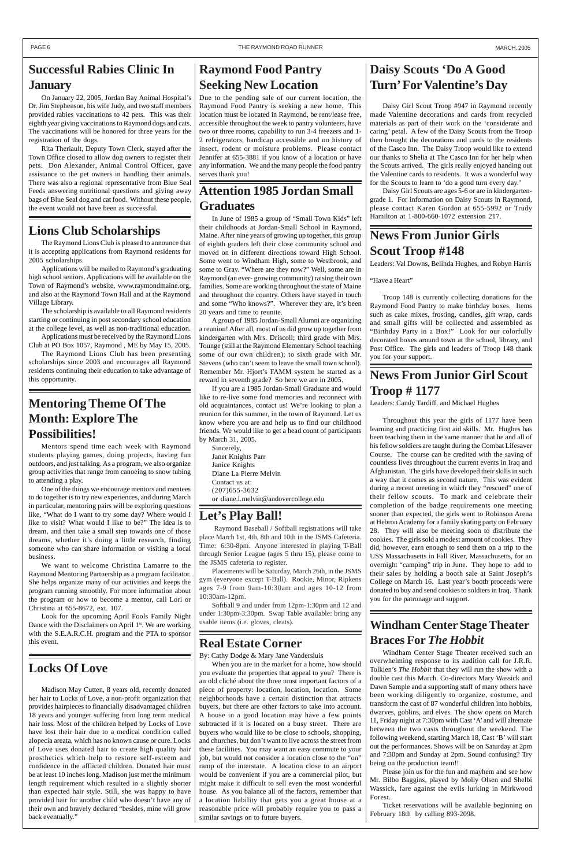## **Daisy Scouts 'Do A Good Turn' For Valentine's Day**

Daisy Girl Scout Troop #947 in Raymond recently made Valentine decorations and cards from recycled materials as part of their work on the 'considerate and caring' petal. A few of the Daisy Scouts from the Troop then brought the decorations and cards to the residents of the Casco Inn. The Daisy Troop would like to extend our thanks to Shelia at The Casco Inn for her help when the Scouts arrived. The girls really enjoyed handing out the Valentine cards to residents. It was a wonderful way for the Scouts to learn to 'do a good turn every day.'

Daisy Girl Scouts are ages 5-6 or are in kindergartengrade 1. For information on Daisy Scouts in Raymond, please contact Karen Gordon at 655-5992 or Trudy Hamilton at 1-800-660-1072 extension 217.

## **News From Junior Girls Scout Troop #148**

Leaders: Val Downs, Belinda Hughes, and Robyn Harris

"Have a Heart"

Troop 148 is currently collecting donations for the Raymond Food Pantry to make birthday boxes. Items such as cake mixes, frosting, candles, gift wrap, cards and small gifts will be collected and assembled as "Birthday Party in a Box!" Look for our colorfully decorated boxes around town at the school, library, and Post Office. The girls and leaders of Troop 148 thank you for your support.

## **News From Junior Girl Scout Troop # 1177**

Leaders: Candy Tardiff, and Michael Hughes

Throughout this year the girls of 1177 have been learning and practicing first aid skills. Mr. Hughes has been teaching them in the same manner that he and all of his fellow soldiers are taught during the Combat Lifesaver Course. The course can be credited with the saving of countless lives throughout the current events in Iraq and Afghanistan. The girls have developed their skills in such a way that it comes as second nature. This was evident during a recent meeting in which they "rescued" one of their fellow scouts. To mark and celebrate their completion of the badge requirements one meeting sooner than expected, the girls went to Robinson Arena at Hebron Academy for a family skating party on February 28. They will also be meeting soon to distribute the cookies. The girls sold a modest amount of cookies. They did, however, earn enough to send them on a trip to the USS Massachusetts in Fall River, Massachusetts, for an overnight "camping" trip in June. They hope to add to their sales by holding a booth sale at Saint Joseph's College on March 16. Last year's booth proceeds were donated to buy and send cookies to soldiers in Iraq. Thank you for the patronage and support.

## **Attention 1985 Jordan Small Graduates**

In June of 1985 a group of "Small Town Kids" left their childhoods at Jordan-Small School in Raymond, Maine. After nine years of growing up together, this group of eighth graders left their close community school and moved on in different directions toward High School. Some went to Windham High, some to Westbrook, and some to Gray. "Where are they now?" Well, some are in Raymond (an ever- growing community) raising their own families. Some are working throughout the state of Maine and throughout the country. Others have stayed in touch and some "Who knows?". Wherever they are, it's been 20 years and time to reunite.

A group of 1985 Jordan-Small Alumni are organizing a reunion! After all, most of us did grow up together from kindergarten with Mrs. Driscoll; third grade with Mrs. Tounge (still at the Raymond Elementary School teaching some of our own children); to sixth grade with Mr. Stevens (who can't seem to leave the small town school). Remember Mr. Hjort's FAMM system he started as a reward in seventh grade? So here we are in 2005.

If you are a 1985 Jordan-Small Graduate and would like to re-live some fond memories and reconnect with old acquaintances, contact us! We're looking to plan a reunion for this summer, in the town of Raymond. Let us know where you are and help us to find our childhood friends. We would like to get a head count of participants by March 31, 2005.

Sincerely, Janet Knights Parr Janice Knights Diane La Pierre Melvin Contact us at: (207)655-3632 or diane.l.melvin@andovercollege.edu

## **Lions Club Scholarships**

The Raymond Lions Club is pleased to announce that it is accepting applications from Raymond residents for 2005 scholarships.

Applications will be mailed to Raymond's graduating high school seniors. Applications will be available on the Town of Raymond's website, www.raymondmaine.org, and also at the Raymond Town Hall and at the Raymond Village Library.

The scholarship is available to all Raymond residents starting or continuing in post secondary school education at the college level, as well as non-traditional education.

Applications must be received by the Raymond Lions Club at PO Box 1057, Raymond , ME by May 15, 2005.

The Raymond Lions Club has been presenting scholarships since 2003 and encourages all Raymond residents continuing their education to take advantage of this opportunity.

## **Mentoring Theme Of The Month: Explore The Possibilities!**

Mentors spend time each week with Raymond students playing games, doing projects, having fun outdoors, and just talking. As a program, we also organize group activities that range from canoeing to snow tubing to attending a play.

One of the things we encourage mentors and mentees to do together is to try new experiences, and during March in particular, mentoring pairs will be exploring questions like, "What do I want to try some day? Where would I like to visit? What would I like to be?" The idea is to dream, and then take a small step towards one of those dreams, whether it's doing a little research, finding someone who can share information or visiting a local business.

We want to welcome Christina Lamarre to the Raymond Mentoring Partnership as a program facilitator. She helps organize many of our activities and keeps the program running smoothly. For more information about the program or how to become a mentor, call Lori or Christina at 655-8672, ext. 107.

Look for the upcoming April Fools Family Night Dance with the Disclaimers on April  $1<sup>st</sup>$ . We are working with the S.E.A.R.C.H. program and the PTA to sponsor

this event.

**Windham Center Stage Theater**

#### **Braces For** *The Hobbit*

Windham Center Stage Theater received such an overwhelming response to its audition call for J.R.R. Tolkien's *The Hobbit* that they will run the show with a double cast this March. Co-directors Mary Wassick and Dawn Sample and a supporting staff of many others have been working diligently to organize, costume, and transform the cast of 87 wonderful children into hobbits, dwarves, goblins, and elves. The show opens on March 11, Friday night at 7:30pm with Cast 'A' and will alternate between the two casts throughout the weekend. The following weekend, starting March 18, Cast 'B' will start out the performances. Shows will be on Saturday at 2pm and 7:30pm and Sunday at 2pm. Sound confusing? Try being on the production team!!

Please join us for the fun and mayhem and see how Mr. Bilbo Baggins, played by Molly Olsen and Shelbi Wassick, fare against the evils lurking in Mirkwood Forest.

Ticket reservations will be available beginning on February 18th by calling 893-2098.

## **Raymond Food Pantry Seeking New Location**

Due to the pending sale of our current location, the Raymond Food Pantry is seeking a new home. This location must be located in Raymond, be rent/lease free, accessible throughout the week to pantry volunteers, have two or three rooms, capability to run 3-4 freezers and 1- 2 refrigerators, handicap accessible and no history of insect, rodent or moisture problems. Please contact Jennifer at 655-3881 if you know of a location or have any information. We and the many people the food pantry serves thank you!

## **Let's Play Ball!**

 Raymond Baseball / Softball registrations will take place March 1st, 4th, 8th and 10th in the JSMS Cafeteria. Time: 6:30-8pm. Anyone interested in playing T-Ball through Senior League (ages 5 thru 15), please come to the JSMS cafeteria to register.

Placements will be Saturday, March 26th, in the JSMS gym (everyone except T-Ball). Rookie, Minor, Ripkens ages 7-9 from 9am-10:30am and ages 10-12 from 10:30am-12pm.

Softball 9 and under from 12pm-1:30pm and 12 and under 1:30pm-3:30pm. Swap Table available: bring any usable items (i.e. gloves, cleats).

#### **Real Estate Corner**

By: Cathy Dodge & Mary Jane Vandersluis

When you are in the market for a home, how should you evaluate the properties that appeal to you? There is an old cliché about the three most important factors of a piece of property: location, location, location. Some neighborhoods have a certain distinction that attracts buyers, but there are other factors to take into account. A house in a good location may have a few points subtracted if it is located on a busy street. There are buyers who would like to be close to schools, shopping, and churches, but don't want to live across the street from these facilities. You may want an easy commute to your job, but would not consider a location close to the "on" ramp of the interstate. A location close to an airport would be convenient if you are a commercial pilot, but might make it difficult to sell even the most wonderful house. As you balance all of the factors, remember that a location liability that gets you a great house at a reasonable price will probably require you to pass a similar savings on to future buyers.

## **Locks Of Love**

Madison May Cutten, 8 years old, recently donated her hair to Locks of Love, a non-profit organization that provides hairpieces to financially disadvantaged children 18 years and younger suffering from long term medical hair loss. Most of the children helped by Locks of Love have lost their hair due to a medical condition called alopecia areata, which has no known cause or cure. Locks of Love uses donated hair to create high quality hair prosthetics which help to restore self-esteem and confidence in the afflicted children. Donated hair must be at least 10 inches long. Madison just met the minimum length requirement which resulted in a slightly shorter than expected hair style. Still, she was happy to have provided hair for another child who doesn't have any of their own and bravely declared "besides, mine will grow back eventually."

## **Successful Rabies Clinic In January**

On January 22, 2005, Jordan Bay Animal Hospital's Dr. Jim Stephenson, his wife Judy, and two staff members provided rabies vaccinations to 42 pets. This was their eighth year giving vaccinations to Raymond dogs and cats. The vaccinations will be honored for three years for the registration of the dogs.

Rita Theriault, Deputy Town Clerk, stayed after the Town Office closed to allow dog owners to register their pets. Don Alexander, Animal Control Officer, gave assistance to the pet owners in handling their animals. There was also a regional representative from Blue Seal Feeds answering nutritional questions and giving away bags of Blue Seal dog and cat food. Without these people, the event would not have been as successful.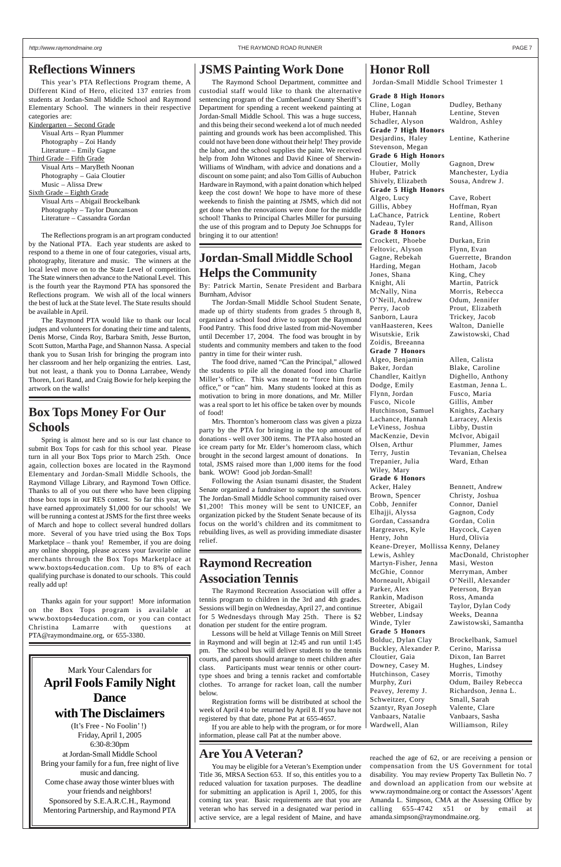#### *http://www.raymondmaine.org* THE RAYMOND ROAD RUNNER PAGE 7

## Mark Your Calendars for **April Fools Family Night Dance with The Disclaimers**

(It's Free - No Foolin' !) Friday, April 1, 2005 6:30-8:30pm at Jordan-Small Middle School Bring your family for a fun, free night of live music and dancing. Come chase away those winter blues with your friends and neighbors! Sponsored by S.E.A.R.C.H., Raymond Mentoring Partnership, and Raymond PTA

#### **Reflections Winners**

This year's PTA Reflections Program theme, A Different Kind of Hero, elicited 137 entries from students at Jordan-Small Middle School and Raymond Elementary School. The winners in their respective categories are:

Kindergarten – Second Grade Visual Arts – Ryan Plummer Photography – Zoi Handy Literature – Emily Gagne Third Grade – Fifth Grade Visual Arts – MaryBeth Noonan Photography – Gaia Cloutier Music – Alissa Drew Sixth Grade – Eighth Grade Visual Arts – Abigail Brockelbank Photography – Taylor Duncanson Literature – Cassandra Gordan

The Reflections program is an art program conducted by the National PTA. Each year students are asked to respond to a theme in one of four categories, visual arts, photography, literature and music. The winners at the local level move on to the State Level of competition. The State winners then advance to the National Level. This is the fourth year the Raymond PTA has sponsored the Reflections program. We wish all of the local winners the best of luck at the State level. The State results should be available in April.

The Raymond PTA would like to thank our local judges and volunteers for donating their time and talents, Denis Morse, Cinda Roy, Barbara Smith, Jesse Burton, Scott Sutton, Martha Page, and Shannon Nassa. A special thank you to Susan Irish for bringing the program into her classroom and her help organizing the entries. Last, but not least, a thank you to Donna Larrabee, Wendy Thoren, Lori Rand, and Craig Bowie for help keeping the artwork on the walls!

## **JSMS Painting Work Done**

The Raymond School Department, committee and custodial staff would like to thank the alternative sentencing program of the Cumberland County Sheriff's Department for spending a recent weekend painting at Jordan-Small Middle School. This was a huge success, and this being their second weekend a lot of much needed painting and grounds work has been accomplished. This could not have been done without their help! They provide the labor, and the school supplies the paint. We received help from John Witones and David Kinee of Sherwin-Williams of Windham, with advice and donations and a discount on some paint; and also Tom Gillis of Aubuchon Hardware in Raymond, with a paint donation which helped keep the cost down! We hope to have more of these weekends to finish the painting at JSMS, which did not get done when the renovations were done for the middle school! Thanks to Principal Charles Miller for pursuing the use of this program and to Deputy Joe Schnupps for bringing it to our attention!

#### **Grade 8 High Honors**

Cline, Logan Dudley, Bethany Huber, Hannah Lentine, Steven Schadler, Alyson Waldron, Ashley **Grade 7 High Honors** Desjardins, Haley Lentine, Katherine Stevenson, Megan **Grade 6 High Honors** Cloutier, Molly Gagnon, Drew Huber, Patrick Manchester, Lydia Shively, Elizabeth Sousa, Andrew J. **Grade 5 High Honors** Algeo, Lucy Cave, Robert Gillis, Abbey Hoffman, Ryan LaChance, Patrick Lentine, Robert Nadeau, Tyler Rand, Allison **Grade 8 Honors** Crockett, Phoebe Durkan, Erin Feltovic, Alyson Flynn, Evan Gagne, Rebekah Guerrette, Brandon Harding, Megan Hotham, Jacob Jones, Shana King, Chey Knight, Ali Martin, Patrick McNally, Nina Morris, Rebecca O'Neill, Andrew Odum, Jennifer Perry, Jacob Prout, Elizabeth Sanborn, Laura Trickey, Jacob vanHaasteren, Kees Walton, Danielle Wisutskie, Erik Zawistowski, Chad Zoidis, Breeanna **Grade 7 Honors** Algeo, Benjamin Allen, Calista Baker, Jordan Blake, Caroline Chandler, Kaitlyn Dighello, Anthony Dodge, Emily Eastman, Jenna L. Flynn, Jordan Fusco, Maria Fusco, Nicole Gillis, Amber Hutchinson, Samuel Knights, Zachary Lachance, Hannah Larracey, Alexis LeViness, Joshua Libby, Dustin MacKenzie, Devin McIvor, Abigail Olsen, Arthur Plummer, James Terry, Justin Tevanian, Chelsea Trepanier, Julia Ward, Ethan Wiley, Mary **Grade 6 Honors** Acker, Haley Bennett, Andrew Brown, Spencer Christy, Joshua Cobb, Jennifer Connor, Daniel Elhajji, Alyssa Gagnon, Cody Gordan, Cassandra Gordan, Colin Hargreaves, Kyle Haycock, Cayen Henry, John Hurd, Olivia Keane-Dreyer, Mollissa Kenny, Delaney Martyn-Fisher, Jenna Masi, Weston McGhie, Connor Merryman, Amber Morneault, Abigail O'Neill, Alexander Parker, Alex Peterson, Bryan Rankin, Madison Ross, Amanda Streeter, Abigail Taylor, Dylan Cody Webber, Lindsay Weeks, Deanna Winde, Tyler **Zawistowski**, Samantha **Grade 5 Honors** Bolduc, Dylan Clay Brockelbank, Samuel Buckley, Alexander P. Cerino, Marissa Cloutier, Gaia Dixon, Ian Barret Downey, Casey M. Hughes, Lindsey Hutchinson, Casey Morris, Timothy Murphy, Zuri Odum, Bailey Rebecca Peavey, Jeremy J. Richardson, Jenna L. Schweitzer, Cory Small, Sarah Szantyr, Ryan Joseph Valente, Clare Vanbaars, Natalie Vanbaars, Sasha Wardwell, Alan Williamson, Riley

Lewis, Ashley MacDonald, Christopher

## **Jordan-Small Middle School Helps the Community**

By: Patrick Martin, Senate President and Barbara Burnham, Advisor

The Jordan-Small Middle School Student Senate, made up of thirty students from grades 5 through 8, organized a school food drive to support the Raymond Food Pantry. This food drive lasted from mid-November until December 17, 2004. The food was brought in by students and community members and taken to the food pantry in time for their winter rush.

The food drive, named "Can the Principal," allowed the students to pile all the donated food into Charlie Miller's office. This was meant to "force him from office," or "can" him. Many students looked at this as motivation to bring in more donations, and Mr. Miller was a real sport to let his office be taken over by mounds of food!

Mrs. Thornton's homeroom class was given a pizza party by the PTA for bringing in the top amount of donations - well over 300 items. The PTA also hosted an ice cream party for Mr. Elder's homeroom class, which brought in the second largest amount of donations. In total, JSMS raised more than 1,000 items for the food bank. WOW! Good job Jordan-Small!

Following the Asian tsunami disaster, the Student Senate organized a fundraiser to support the survivors. The Jordan-Small Middle School community raised over \$1,200! This money will be sent to UNICEF, an organization picked by the Student Senate because of its focus on the world's children and its commitment to rebuilding lives, as well as providing immediate disaster relief.

## **Box Tops Money For Our Schools**

Spring is almost here and so is our last chance to submit Box Tops for cash for this school year. Please turn in all your Box Tops prior to March 25th. Once again, collection boxes are located in the Raymond Elementary and Jordan-Small Middle Schools, the Raymond Village Library, and Raymond Town Office. Thanks to all of you out there who have been clipping those box tops in our RES contest. So far this year, we have earned approximately \$1,000 for our schools! We will be running a contest at JSMS for the first three weeks of March and hope to collect several hundred dollars more. Several of you have tried using the Box Tops Marketplace – thank you! Remember, if you are doing any online shopping, please access your favorite online merchants through the Box Tops Marketplace at www.boxtops4education.com. Up to 8% of each qualifying purchase is donated to our schools. This could really add up!

Thanks again for your support! More information on the Box Tops program is available at www.boxtops4education.com, or you can contact Christina Lamarre with questions at PTA@raymondmaine.org, or 655-3380.

## **Raymond Recreation Association Tennis**

The Raymond Recreation Association will offer a tennis program to children in the 3rd and 4th grades. Sessions will begin on Wednesday, April 27, and continue for 5 Wednesdays through May 25th. There is \$2 donation per student for the entire program.

Lessons will be held at Village Tennis on Mill Street

in Raymond and will begin at 12:45 and run until 1:45 pm. The school bus will deliver students to the tennis courts, and parents should arrange to meet children after class. Participants must wear tennis or other courttype shoes and bring a tennis racket and comfortable clothes. To arrange for racket loan, call the number below.

Registration forms will be distributed at school the week of April 4 to be returned by April 8. If you have not registered by that date, phone Pat at 655-4657.

If you are able to help with the program, or for more information, please call Pat at the number above.

#### **Honor Roll**

Jordan-Small Middle School Trimester 1

#### **Are You A Veteran?**

You may be eligible for a Veteran's Exemption under Title 36, MRSA Section 653. If so, this entitles you to a reduced valuation for taxation purposes. The deadline for submitting an application is April 1, 2005, for this coming tax year. Basic requirements are that you are veteran who has served in a designated war period in active service, are a legal resident of Maine, and have

reached the age of 62, or are receiving a pension or compensation from the US Government for total disability. You may review Property Tax Bulletin No. 7 and download an application from our website at www.raymondmaine.org or contact the Assessors' Agent Amanda L. Simpson, CMA at the Assessing Office by calling 655-4742 x51 or by email at amanda.simpson@raymondmaine.org.